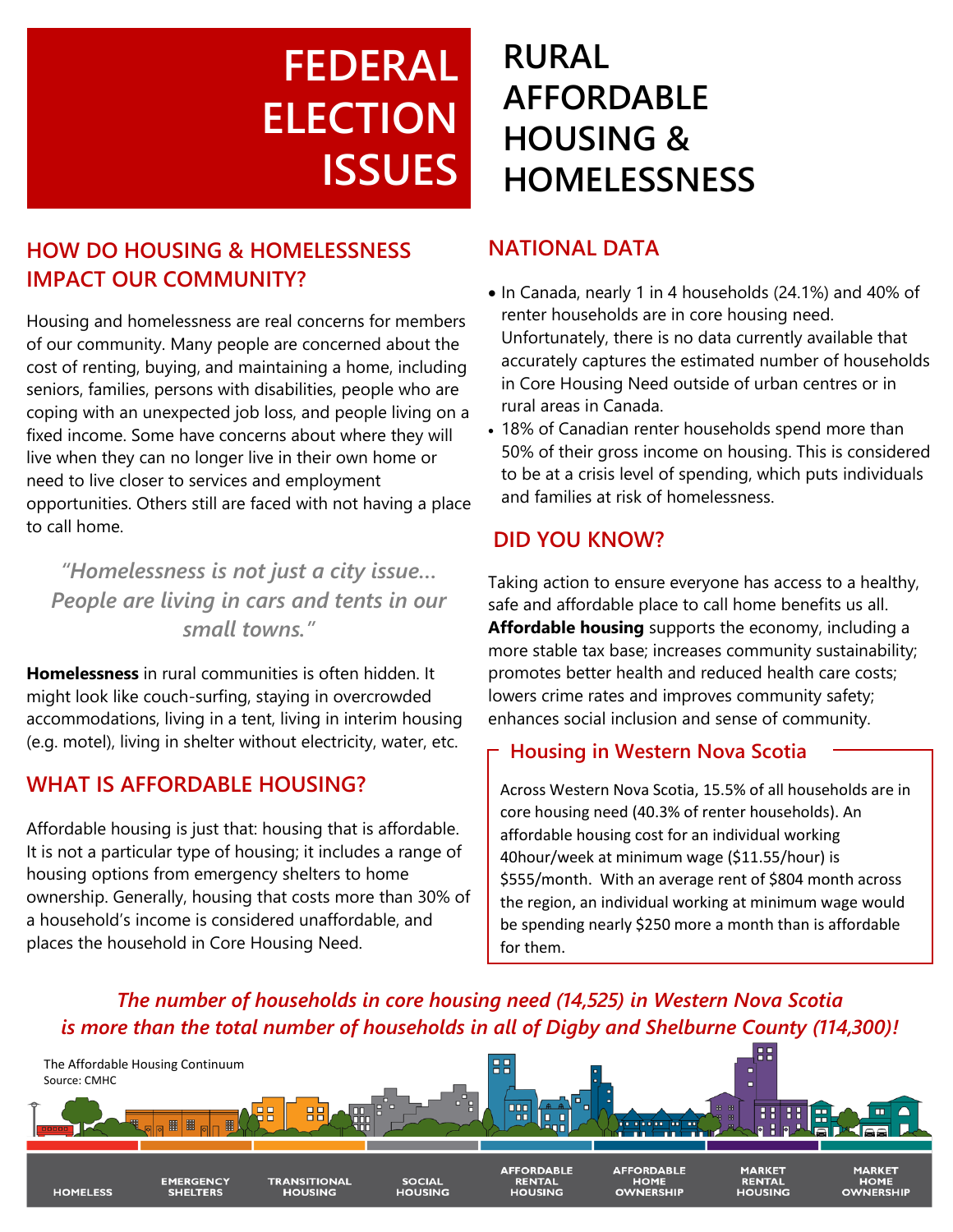# **FEDERAL ELECTION ISSUES**

### **HOW DO HOUSING & HOMELESSNESS IMPACT OUR COMMUNITY?**

Housing and homelessness are real concerns for members of our community. Many people are concerned about the cost of renting, buying, and maintaining a home, including seniors, families, persons with disabilities, people who are coping with an unexpected job loss, and people living on a fixed income. Some have concerns about where they will live when they can no longer live in their own home or need to live closer to services and employment opportunities. Others still are faced with not having a place to call home.

*"Homelessness is not just a city issue… People are living in cars and tents in our small towns."*

**Homelessness** in rural communities is often hidden. It might look like couch-surfing, staying in overcrowded accommodations, living in a tent, living in interim housing (e.g. motel), living in shelter without electricity, water, etc.

#### **WHAT IS AFFORDABLE HOUSING?**

Affordable housing is just that: housing that is affordable. It is not a particular type of housing; it includes a range of housing options from emergency shelters to home ownership. Generally, housing that costs more than 30% of a household's income is considered unaffordable, and places the household in Core Housing Need.

## **RURAL AFFORDABLE HOUSING & HOMELESSNESS**

#### **NATIONAL DATA**

- In Canada, nearly 1 in 4 households (24.1%) and 40% of renter households are in core housing need. Unfortunately, there is no data currently available that accurately captures the estimated number of households in Core Housing Need outside of urban centres or in rural areas in Canada.
- 18% of Canadian renter households spend more than 50% of their gross income on housing. This is considered to be at a crisis level of spending, which puts individuals and families at risk of homelessness.

#### **DID YOU KNOW?**

Taking action to ensure everyone has access to a healthy, safe and affordable place to call home benefits us all. **Affordable housing** supports the economy, including a more stable tax base; increases community sustainability; promotes better health and reduced health care costs; lowers crime rates and improves community safety; enhances social inclusion and sense of community.

#### **Housing in Western Nova Scotia**

Across Western Nova Scotia, 15.5% of all households are in core housing need (40.3% of renter households). An affordable housing cost for an individual working 40hour/week at minimum wage (\$11.55/hour) is \$555/month. With an average rent of \$804 month across the region, an individual working at minimum wage would be spending nearly \$250 more a month than is affordable for them.

The number of households in core housing need (14,525) in Western Nova Scotia is more than the total number of households in all of Digby and Shelburne County (114,300)!